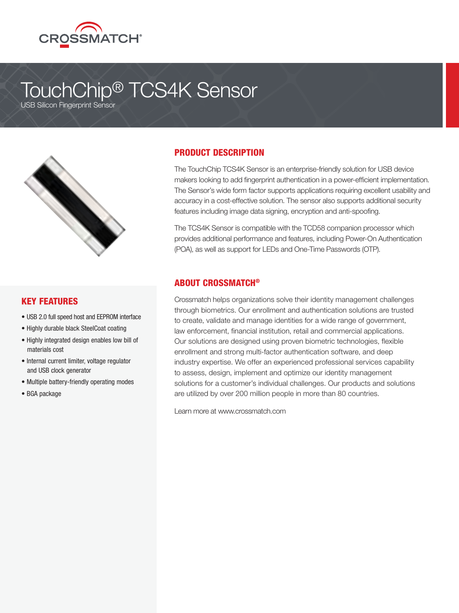

# TouchChip® TCS4K Sensor

USB Silicon Fingerprint Sensor



### KEY FEATURES

- USB 2.0 full speed host and EEPROM interface
- Highly durable black SteelCoat coating
- Highly integrated design enables low bill of materials cost
- Internal current limiter, voltage regulator and USB clock generator
- Multiple battery-friendly operating modes
- BGA package

## PRODUCT DESCRIPTION

The TouchChip TCS4K Sensor is an enterprise-friendly solution for USB device makers looking to add fingerprint authentication in a power-efficient implementation. The Sensor's wide form factor supports applications requiring excellent usability and accuracy in a cost-effective solution. The sensor also supports additional security features including image data signing, encryption and anti-spoofing.

The TCS4K Sensor is compatible with the TCD58 companion processor which provides additional performance and features, including Power-On Authentication (POA), as well as support for LEDs and One-Time Passwords (OTP).

## ABOUT CROSSMATCH®

Crossmatch helps organizations solve their identity management challenges through biometrics. Our enrollment and authentication solutions are trusted to create, validate and manage identities for a wide range of government, law enforcement, financial institution, retail and commercial applications. Our solutions are designed using proven biometric technologies, flexible enrollment and strong multi-factor authentication software, and deep industry expertise. We offer an experienced professional services capability to assess, design, implement and optimize our identity management solutions for a customer's individual challenges. Our products and solutions are utilized by over 200 million people in more than 80 countries.

Learn more at www.crossmatch.com